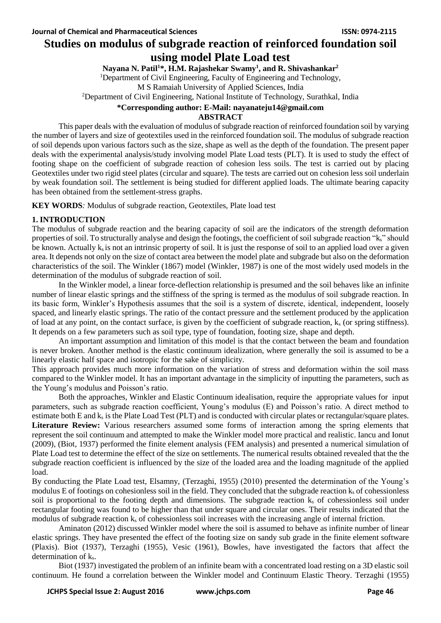## **Studies on modulus of subgrade reaction of reinforced foundation soil using model Plate Load test**

**Nayana N. Patil<sup>1</sup>\*, H.M. Rajashekar Swamy<sup>1</sup> , and R. Shivashankar<sup>2</sup>**

<sup>1</sup>Department of Civil Engineering, Faculty of Engineering and Technology,

M S Ramaiah University of Applied Sciences, India

<sup>2</sup>Department of Civil Engineering, National Institute of Technology, Surathkal, India

#### **\*Corresponding author: E-Mail: [nayanateju14@gmail.com](mailto:nayanateju14@gmail.com)**

## **ABSTRACT**

This paper deals with the evaluation of modulus of subgrade reaction of reinforced foundation soil by varying the number of layers and size of geotextiles used in the reinforced foundation soil. The modulus of subgrade reaction of soil depends upon various factors such as the size, shape as well as the depth of the foundation. The present paper deals with the experimental analysis/study involving model Plate Load tests (PLT). It is used to study the effect of footing shape on the coefficient of subgrade reaction of cohesion less soils. The test is carried out by placing Geotextiles under two rigid steel plates (circular and square). The tests are carried out on cohesion less soil underlain by weak foundation soil. The settlement is being studied for different applied loads. The ultimate bearing capacity has been obtained from the settlement-stress graphs.

**KEY WORDS***:* Modulus of subgrade reaction, Geotextiles, Plate load test

## **1. INTRODUCTION**

The modulus of subgrade reaction and the bearing capacity of soil are the indicators of the strength deformation properties of soil. To structurally analyse and design the footings, the coefficient of soil subgrade reaction "ks" should be known. Actually  $k_s$  is not an intrinsic property of soil. It is just the response of soil to an applied load over a given area. It depends not only on the size of contact area between the model plate and subgrade but also on the deformation characteristics of the soil. The Winkler (1867) model (Winkler, 1987) is one of the most widely used models in the determination of the modulus of subgrade reaction of soil.

In the Winkler model, a linear force-deflection relationship is presumed and the soil behaves like an infinite number of linear elastic springs and the stiffness of the spring is termed as the modulus of soil subgrade reaction. In its basic form, Winkler's Hypothesis assumes that the soil is a system of discrete, identical, independent, loosely spaced, and linearly elastic springs. The ratio of the contact pressure and the settlement produced by the application of load at any point, on the contact surface, is given by the coefficient of subgrade reaction,  $k_s$  (or spring stiffness). It depends on a few parameters such as soil type, type of foundation, footing size, shape and depth.

An important assumption and limitation of this model is that the contact between the beam and foundation is never broken. Another method is the elastic continuum idealization, where generally the soil is assumed to be a linearly elastic half space and isotropic for the sake of simplicity.

This approach provides much more information on the variation of stress and deformation within the soil mass compared to the Winkler model. It has an important advantage in the simplicity of inputting the parameters, such as the Young's modulus and Poisson's ratio.

Both the approaches, Winkler and Elastic Continuum idealisation, require the appropriate values for input parameters, such as subgrade reaction coefficient, Young's modulus (E) and Poisson's ratio. A direct method to estimate both E and k<sub>s</sub> is the Plate Load Test (PLT) and is conducted with circular plates or rectangular/square plates. Literature Review: Various researchers assumed some forms of interaction among the spring elements that represent the soil continuum and attempted to make the Winkler model more practical and realistic. Iancu and Ionut (2009), (Biot, 1937) performed the finite element analysis (FEM analysis) and presented a numerical simulation of Plate Load test to determine the effect of the size on settlements. The numerical results obtained revealed that the the subgrade reaction coefficient is influenced by the size of the loaded area and the loading magnitude of the applied load.

By conducting the Plate Load test, Elsamny, (Terzaghi, 1955) (2010) presented the determination of the Young's modulus E of footings on cohesionless soil in the field. They concluded that the subgrade reaction  $k_s$  of cohessionless soil is proportional to the footing depth and dimensions. The subgrade reaction  $k<sub>s</sub>$  of cohessionless soil under rectangular footing was found to be higher than that under square and circular ones. Their results indicated that the modulus of subgrade reaction  $k_s$  of cohessionless soil increases with the increasing angle of internal friction.

Aminaton (2012) discussed Winkler model where the soil is assumed to behave as infinite number of linear elastic springs. They have presented the effect of the footing size on sandy sub grade in the finite element software (Plaxis). Biot (1937), Terzaghi (1955), Vesic (1961), Bowles, have investigated the factors that affect the determination of ks.

Biot (1937) investigated the problem of an infinite beam with a concentrated load resting on a 3D elastic soil continuum. He found a correlation between the Winkler model and Continuum Elastic Theory. Terzaghi (1955)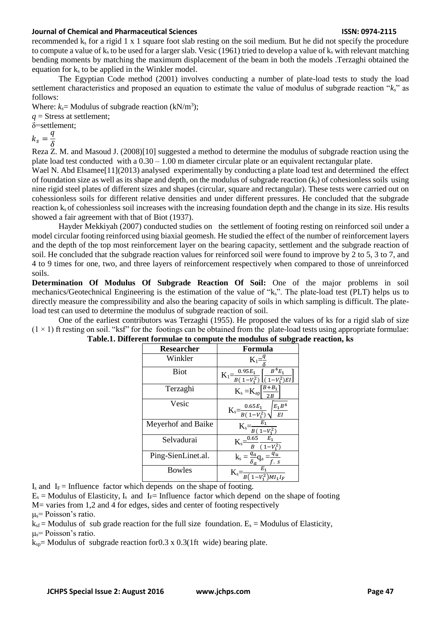recommended k<sup>s</sup> for a rigid 1 x 1 square foot slab resting on the soil medium. But he did not specify the procedure to compute a value of  $k_s$  to be used for a larger slab. Vesic (1961) tried to develop a value of  $k_s$  with relevant matching bending moments by matching the maximum displacement of the beam in both the models .Terzaghi obtained the equation for  $k<sub>s</sub>$  to be applied in the Winkler model.

The Egyptian Code method (2001) involves conducting a number of plate-load tests to study the load settlement characteristics and proposed an equation to estimate the value of modulus of subgrade reaction "*ks*" as follows:

Where:  $k_s$  = Modulus of subgrade reaction ( $kN/m^3$ );

*q* = Stress at settlement;

δ=settlement;

 $k_s =$  $\overline{q}$  $\delta$ 

Reza Z. M. and Masoud J. (2008)[10] suggested a method to determine the modulus of subgrade reaction using the plate load test conducted with a  $0.30 - 1.00$  m diameter circular plate or an equivalent rectangular plate.

Wael N. Abd Elsamee<sup>[11]</sup>(2013) analysed experimentally by conducting a plate load test and determined the effect of foundation size as well as its shape and depth, on the modulus of subgrade reaction  $(k_s)$  of cohesionless soils using nine rigid steel plates of different sizes and shapes (circular, square and rectangular). These tests were carried out on cohessionless soils for different relative densities and under different pressures. He concluded that the subgrade reaction k<sup>s</sup> of cohessionless soil increases with the increasing foundation depth and the change in its size. His results showed a fair agreement with that of Biot (1937).

Hayder Mekkiyah (2007) conducted studies on the settlement of footing resting on reinforced soil under a model circular footing reinforced using biaxial geomesh. He studied the effect of the number of reinforcement layers and the depth of the top most reinforcement layer on the bearing capacity, settlement and the subgrade reaction of soil. He concluded that the subgrade reaction values for reinforced soil were found to improve by 2 to 5, 3 to 7, and 4 to 9 times for one, two, and three layers of reinforcement respectively when compared to those of unreinforced soils.

**Determination Of Modulus Of Subgrade Reaction Of Soil:** One of the major problems in soil mechanics/Geotechnical Engineering is the estimation of the value of "ks". The plate-load test (PLT) helps us to directly measure the compressibility and also the bearing capacity of soils in which sampling is difficult. The plateload test can used to determine the modulus of subgrade reaction of soil.

One of the earliest contributors was Terzaghi (1955). He proposed the values of ks for a rigid slab of size  $(1 \times 1)$  ft resting on soil. "ksf" for the footings can be obtained from the plate-load tests using appropriate formulae:

| <b>Researcher</b>  | Formula                                                                       |
|--------------------|-------------------------------------------------------------------------------|
| Winkler            | $K_1=\frac{q}{s}$                                                             |
| <b>Biot</b>        | $K_1 = \frac{0.95E_1}{B(1-V_1^2)} \left[ \frac{B^4 E_1}{(1-V_1^2)EI} \right]$ |
| Terzaghi           | $K_s = K_{ap} \sqrt{\frac{B+B_1}{2}}$                                         |
| Vesic              | $K_s = \frac{0.65E_1}{B(1-V_1^2)} \sqrt{\frac{E_1 B^4}{EI}}$                  |
| Meyerhof and Baike | $K_s = \frac{E_1}{B(1-V_1^2)}$                                                |
| Selvadurai         | $K_s = \frac{0.65}{B} \frac{E_1}{(1-V_1^2)}$                                  |
| Ping-SienLinet.al. | $\mathbf{k}_\mathrm{s} = \frac{q_a}{\delta_a} \mathbf{q}_\mathrm{a}$          |
| <b>Bowles</b>      | $K_s = \frac{1}{B(1-V_1^2)MI_1I_F}$                                           |

| Table.1. Different formulae to compute the modulus of subgrade reaction, ks |  |  |  |  |  |  |  |  |  |
|-----------------------------------------------------------------------------|--|--|--|--|--|--|--|--|--|
|-----------------------------------------------------------------------------|--|--|--|--|--|--|--|--|--|

 $I_s$  and  $I_F$  = Influence factor which depends on the shape of footing.

 $E_s$  = Modulus of Elasticity, I<sub>s</sub> and I<sub>F</sub>= Influence factor which depend on the shape of footing

M= varies from 1,2 and 4 for edges, sides and center of footing respectively

 $\mu$ <sub>s</sub> = Poisson's ratio.

 $k_{sf}$  = Modulus of sub grade reaction for the full size foundation.  $E_s$  = Modulus of Elasticity,  $\mu$ <sub>s</sub>= Poisson's ratio.

 $k_{sp}$ = Modulus of subgrade reaction for 0.3 x 0.3(1ft wide) bearing plate.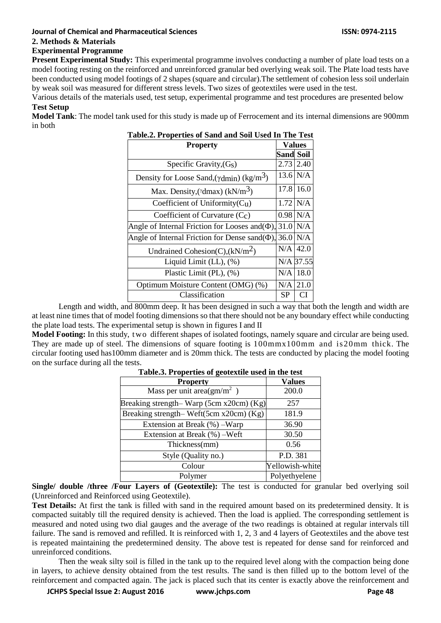## **2. Methods & Materials**

## **Experimental Programme**

**Present Experimental Study:** This experimental programme involves conducting a number of plate load tests on a model footing resting on the reinforced and unreinforced granular bed overlying weak soil. The Plate load tests have been conducted using model footings of 2 shapes (square and circular).The settlement of cohesion less soil underlain by weak soil was measured for different stress levels. Two sizes of geotextiles were used in the test.

Various details of the materials used, test setup, experimental programme and test procedures are presented below **Test Setup**

**Model Tank**: The model tank used for this study is made up of Ferrocement and its internal dimensions are 900mm in both

| Table.2. Properties of Sand and Soil Used In The Test               |                  |            |  |
|---------------------------------------------------------------------|------------------|------------|--|
| <b>Property</b>                                                     | Values           |            |  |
|                                                                     | <b>Sand Soil</b> |            |  |
| Specific Gravity, $(Gs)$                                            | 2.73             | 2.40       |  |
| Density for Loose Sand, $(\gamma \text{dmin})$ (kg/m <sup>3</sup> ) |                  | $13.6$ N/A |  |
| Max. Density, ( $\gamma$ dmax) (kN/m <sup>3</sup> )                 | 17.8             | 16.0       |  |
| Coefficient of Uniformity $(Cu)$                                    | 1.72             | N/A        |  |
| Coefficient of Curvature (Cc)                                       | 0.98             | N/A        |  |
| Angle of Internal Friction for Looses and $(\Phi)$ ,                | 31.0             | N/A        |  |
| Angle of Internal Friction for Dense sand $(\Phi)$ ,                | 36.0             | N/A        |  |
| Undrained Cohesion(C), $(kN/m2)$                                    | N/A              | 42.0       |  |
| Liquid Limit $(LL)$ , $(\%)$                                        |                  | N/A 37.55  |  |
| Plastic Limit (PL), (%)                                             | N/A              | 18.0       |  |
| Optimum Moisture Content (OMG) (%)                                  | N/A              | 21.0       |  |
| Classification                                                      | <b>SP</b>        |            |  |

| Table.2. Properties of Sand and Soil Used In The Test |  |  |  |  |  |
|-------------------------------------------------------|--|--|--|--|--|
|                                                       |  |  |  |  |  |

Length and width, and 800mm deep. It has been designed in such a way that both the length and width are at least nine times that of model footing dimensions so that there should not be any boundary effect while conducting the plate load tests. The experimental setup is shown in figures I and II

**Model Footing:** In this study, two different shapes of isolated footings, namely square and circular are being used. They are made up of steel. The dimensions of square footing is 100mmx100mm and is20mm thick. The circular footing used has100mm diameter and is 20mm thick. The tests are conducted by placing the model footing on the surface during all the tests.

| <b>Property</b>                         | Values          |  |  |
|-----------------------------------------|-----------------|--|--|
| Mass per unit area(gm/m <sup>2</sup> )  | 200.0           |  |  |
| Breaking strength–Warp (5cm x20cm) (Kg) | 257             |  |  |
| Breaking strength-Weft(5cm x20cm) (Kg)  | 181.9           |  |  |
| Extension at Break (%) – Warp           | 36.90           |  |  |
| Extension at Break (%) – Weft           | 30.50           |  |  |
| Thickness(mm)                           | 0.56            |  |  |
| Style (Quality no.)                     | P.D. 381        |  |  |
| Colour                                  | Yellowish-white |  |  |
| Polymer                                 | Polyethyelene   |  |  |

**Table.3. Properties of geotextile used in the test**

**Single/ double /three /Four Layers of (Geotextile):** The test is conducted for granular bed overlying soil (Unreinforced and Reinforced using Geotextile).

**Test Details:** At first the tank is filled with sand in the required amount based on its predetermined density. It is compacted suitably till the required density is achieved. Then the load is applied. The corresponding settlement is measured and noted using two dial gauges and the average of the two readings is obtained at regular intervals till failure. The sand is removed and refilled. It is reinforced with 1, 2, 3 and 4 layers of Geotextiles and the above test is repeated maintaining the predetermined density. The above test is repeated for dense sand for reinforced and unreinforced conditions.

Then the weak silty soil is filled in the tank up to the required level along with the compaction being done in layers, to achieve density obtained from the test results. The sand is then filled up to the bottom level of the reinforcement and compacted again. The jack is placed such that its center is exactly above the reinforcement and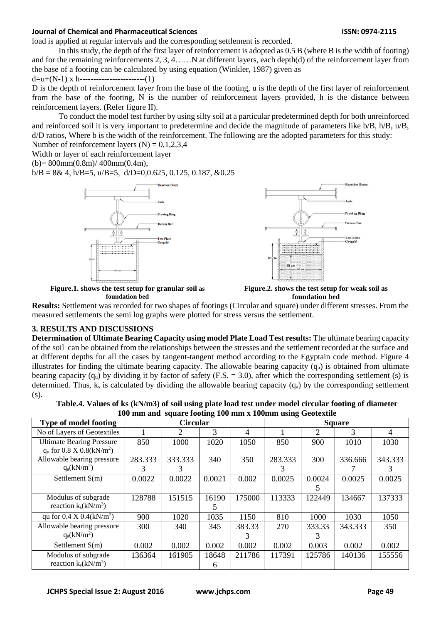load is applied at regular intervals and the corresponding settlement is recorded.

In this study, the depth of the first layer of reinforcement is adopted as 0.5 B (where B is the width of footing) and for the remaining reinforcements 2, 3, 4……N at different layers, each depth(d) of the reinforcement layer from the base of a footing can be calculated by using equation (Winkler, 1987) given as

## $d=u+(N-1)x$  h--------------------------(1)

D is the depth of reinforcement layer from the base of the footing, u is the depth of the first layer of reinforcement from the base of the footing, N is the number of reinforcement layers provided, h is the distance between reinforcement layers. (Refer figure II).

To conduct the model test further by using silty soil at a particular predetermined depth for both unreinforced and reinforced soil it is very important to predetermine and decide the magnitude of parameters like b/B, h/B, u/B, d/D ratios, Where b is the width of the reinforcement. The following are the adopted parameters for this study: Number of reinforcement layers  $(N) = 0,1,2,3,4$ 

Width or layer of each reinforcement layer

 $(b) = 800$ mm $(0.8m) / 400$ mm $(0.4m)$ ,

 $b/B = 8 & 4$ , h/B=5, u/B=5, d/D=0,0.625, 0.125, 0.187,  $&0.25$ 



**foundation bed**



**Figure.2. shows the test setup for weak soil as foundation bed**

**Results:** Settlement was recorded for two shapes of footings (Circular and square) under different stresses. From the measured settlements the semi log graphs were plotted for stress versus the settlement.

#### **3. RESULTS AND DISCUSSIONS**

**Determination of Ultimate Bearing Capacity using model Plate Load Test results:** The ultimate bearing capacity of the soil can be obtained from the relationships between the stresses and the settlement recorded at the surface and at different depths for all the cases by tangent-tangent method according to the Egyptain code method. Figure 4 illustrates for finding the ultimate bearing capacity. The allowable bearing capacity  $(q_a)$  is obtained from ultimate bearing capacity  $(q_u)$  by dividing it by factor of safety (F.S. = 3.0), after which the corresponding settlement (s) is determined. Thus,  $k_s$  is calculated by dividing the allowable bearing capacity  $(q_a)$  by the corresponding settlement (s).

| <b>Type of model footing</b>                                                | <b>Circular</b><br><b>Square</b> |              |            |             |              |             |         |              |
|-----------------------------------------------------------------------------|----------------------------------|--------------|------------|-------------|--------------|-------------|---------|--------------|
| No of Layers of Geotextiles                                                 |                                  |              | 3          | 4           |              | 2           | 3       | 4            |
| <b>Ultimate Bearing Pressure</b><br>$q_u$ for 0.8 X 0.8(kN/m <sup>2</sup> ) | 850                              | 1000         | 1020       | 1050        | 850          | 900         | 1010    | 1030         |
| Allowable bearing pressure<br>$q_a(kN/m^2)$                                 | 283.333<br>3                     | 333.333<br>3 | 340        | 350         | 283.333<br>3 | 300         | 336.666 | 343.333<br>3 |
| Settlement $S(m)$                                                           | 0.0022                           | 0.0022       | 0.0021     | 0.002       | 0.0025       | 0.0024      | 0.0025  | 0.0025       |
| Modulus of subgrade<br>reaction $k_s(kN/m^3)$                               | 128788                           | 151515       | 16190<br>5 | 175000      | 113333       | 122449      | 134667  | 137333       |
| qu for 0.4 X 0.4(kN/m <sup>2</sup> )                                        | 900                              | 1020         | 1035       | 1150        | 810          | 1000        | 1030    | 1050         |
| Allowable bearing pressure<br>$q_a(kN/m^2)$                                 | 300                              | 340          | 345        | 383.33<br>3 | 270          | 333.33<br>3 | 343.333 | 350          |
| Settlement $S(m)$                                                           | 0.002                            | 0.002        | 0.002      | 0.002       | 0.002        | 0.003       | 0.002   | 0.002        |
| Modulus of subgrade<br>reaction $k_s(kN/m^3)$                               | 136364                           | 161905       | 18648<br>6 | 211786      | 117391       | 125786      | 140136  | 155556       |

**Table.4. Values of ks (kN/m3) of soil using plate load test under model circular footing of diameter 100 mm and square footing 100 mm x 100mm using Geotextile**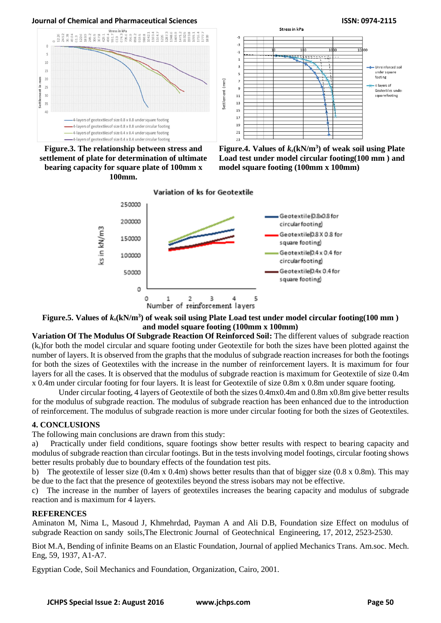# **Journal of Chemical and Pharmaceutical Sciences ISSN: 0974-2115**<br>Stress in kPa



**Figure.3. The relationship between stress and settlement of plate for determination of ultimate bearing capacity for square plate of 100mm x 100mm.**



**Figure.4. Values of** *ks***(kN/m<sup>3</sup> ) of weak soil using Plate Load test under model circular footing(100 mm ) and model square footing (100mm x 100mm)**



Settlement (mm)

**Figure.5. Values of** *ks***(kN/m<sup>3</sup> ) of weak soil using Plate Load test under model circular footing(100 mm ) and model square footing (100mm x 100mm)**

**Variation Of The Modulus Of Subgrade Reaction Of Reinforced Soil:** The different values of subgrade reaction (ks)for both the model circular and square footing under Geotextile for both the sizes have been plotted against the number of layers. It is observed from the graphs that the modulus of subgrade reaction increases for both the footings for both the sizes of Geotextiles with the increase in the number of reinforcement layers. It is maximum for four layers for all the cases. It is observed that the modulus of subgrade reaction is maximum for Geotextile of size 0.4m x 0.4m under circular footing for four layers. It is least for Geotextile of size 0.8m x 0.8m under square footing.

Under circular footing, 4 layers of Geotextile of both the sizes 0.4mx0.4m and 0.8m x0.8m give better results for the modulus of subgrade reaction. The modulus of subgrade reaction has been enhanced due to the introduction of reinforcement. The modulus of subgrade reaction is more under circular footing for both the sizes of Geotextiles.

## **4. CONCLUSIONS**

The following main conclusions are drawn from this study:

a) Practically under field conditions, square footings show better results with respect to bearing capacity and modulus of subgrade reaction than circular footings. But in the tests involving model footings, circular footing shows better results probably due to boundary effects of the foundation test pits.

b) The geotextile of lesser size (0.4m x 0.4m) shows better results than that of bigger size (0.8 x 0.8m). This may be due to the fact that the presence of geotextiles beyond the stress isobars may not be effective.

c) The increase in the number of layers of geotextiles increases the bearing capacity and modulus of subgrade reaction and is maximum for 4 layers.

## **REFERENCES**

Aminaton M, Nima L, Masoud J, Khmehrdad, Payman A and Ali D.B, Foundation size Effect on modulus of subgrade Reaction on sandy soils,The Electronic Journal of Geotechnical Engineering, 17, 2012, 2523-2530.

Biot M.A, Bending of infinite Beams on an Elastic Foundation, Journal of applied Mechanics Trans. Am.soc. Mech. Eng, 59, 1937, A1-A7.

Egyptian Code, Soil Mechanics and Foundation, Organization, Cairo, 2001.